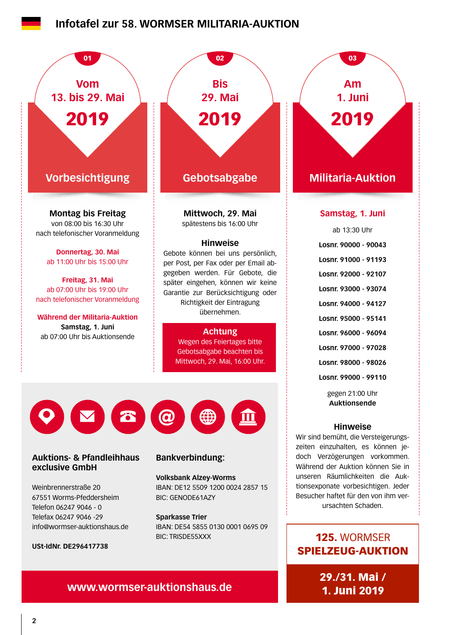## **[Infotafel zur 58. WORMSER MILITARIA-AUKTION](https://www.wormser-auktionshaus.de)**



125. WORMSER SPIELZEUG-AUKTION

> 29./31. Mai / 1. Juni 2019

# **www.wormser-auktionshaus.de**

**USt-IdNr. DE296417738**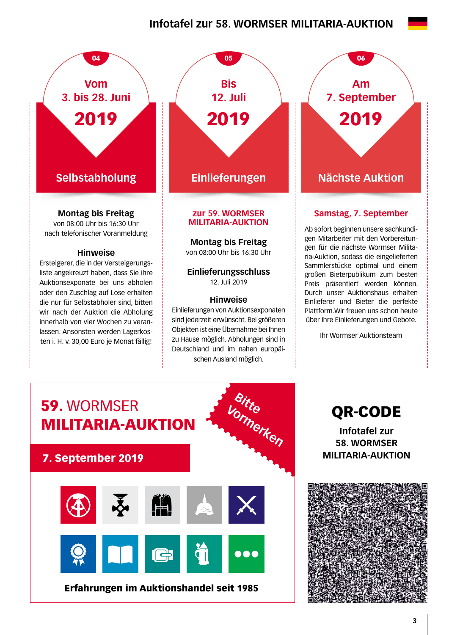# **Infotafel zur 58. WORMSER MILITARIA-AUKTION**



von 08:00 Uhr bis 16:30 Uhr nach telefonischer Voranmeldung

#### **Hinweise**

Ersteigerer, die in der Versteigerungsliste angekreuzt haben, dass Sie ihre Auktionsexponate bei uns abholen oder den Zuschlag auf Lose erhalten die nur für Selbstabholer sind, bitten wir nach der Auktion die Abholung innerhalb von vier Wochen zu veranlassen. Ansonsten werden Lagerkosten i. H. v. 30,00 Euro je Monat fällig!



# **MILITARIA-AUKTION**

**Montag bis Freitag** 

von 08:00 Uhr bis 16:30 Uhr

**Einlieferungsschluss**  12. Juli 2019

#### **Hinweise**

Einlieferungen von Auktionsexponaten sind jederzeit erwünscht. Bei größeren Objekten ist eine Übernahme bei Ihnen zu Hause möglich. Abholungen sind in Deutschland und im nahen europäischen Ausland möglich.

**Am 7. September** 2019

### **Samstag, 7. September**

Ab sofort beginnen unsere sachkundigen Mitarbeiter mit den Vorbereitungen für die nächste Wormser Militaria-Auktion, sodass die eingelieferten Sammlerstücke optimal und einem großen Bieterpublikum zum besten Preis präsentiert werden können. Durch unser Auktionshaus erhalten Einlieferer und Bieter die perfekte Plattform.Wir freuen uns schon heute über Ihre Einlieferungen und Gebote.

Ihr Wormser Auktionsteam



**Infotafel zur 58. WORMSER MILITARIA-AUKTION**

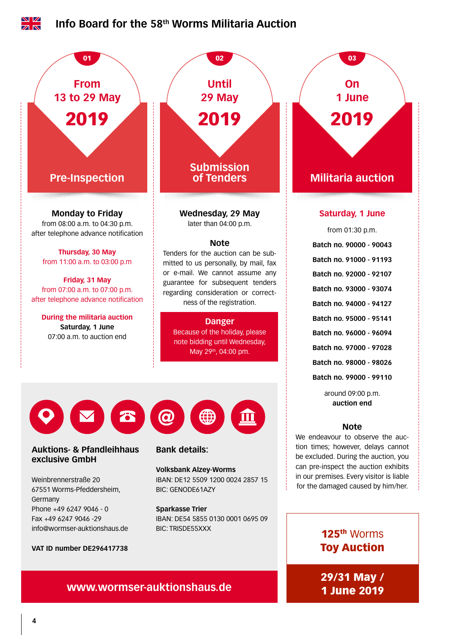

**www.wormser-auktionshaus.de** 29/31 May /

1 June 2019